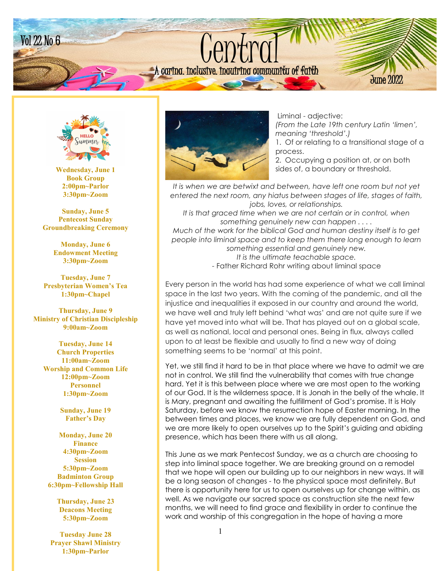



**Wednesday, June 1 Book Group 2:00pm~Parlor 3:30pm~Zoom**

**Sunday, June 5 Pentecost Sunday Groundbreaking Ceremony**

> **Monday, June 6 Endowment Meeting 3:30pm~Zoom**

**Tuesday, June 7 Presbyterian Women's Tea 1:30pm~Chapel**

**Thursday, June 9 Ministry of Christian Discipleship 9:00am~Zoom**

> **Tuesday, June 14 Church Properties 11:00am~Zoom Worship and Common Life 12:00pm~Zoom Personnel 1:30pm~Zoom**

> > **Sunday, June 19 Father's Day**

**Monday, June 20 Finance 4:30pm~Zoom Session 5:30pm~Zoom Badminton Group 6:30pm~Fellowship Hall**

> **Thursday, June 23 Deacons Meeting 5:30pm~Zoom**

**Tuesday June 28 Prayer Shawl Ministry 1:30pm~Parlor**



Liminal - adjective: *(From the Late 19th century Latin 'limen', meaning 'threshold'.)*

1. Of or relating to a transitional stage of a process.

2. Occupying a position at, or on both sides of, a boundary or threshold.

It is when we are betwixt and between, have left one room but not yet *entered the next room, any hiatus between stages of life, stages of faith, jobs, loves, or relationships.*

It is that graced time when we are not certain or in control, when *something genuinely new can happen . . . . Much of the work for the biblical God and human destiny itself is to get people into liminal space and to keep them there long enough to learn* 

*something essential and genuinely new. It is the ultimate teachable space.*

- Father Richard Rohr writing about liminal space

Every person in the world has had some experience of what we call liminal space in the last two years. With the coming of the pandemic, and all the injustice and inequalities it exposed in our country and around the world, we have well and truly left behind 'what was' and are not quite sure if we have yet moved into what will be. That has played out on a global scale, as well as national, local and personal ones. Being in flux, always called upon to at least be flexible and usually to find a new way of doing something seems to be 'normal' at this point.

Yet, we still find it hard to be in that place where we have to admit we are not in control. We still find the vulnerability that comes with true change hard. Yet it is this between place where we are most open to the working of our God. It is the wilderness space. It is Jonah in the belly of the whale. It is Mary, pregnant and awaiting the fulfillment of God's promise. It is Holy Saturday, before we know the resurrection hope of Easter morning. In the between times and places, we know we are fully dependent on God, and we are more likely to open ourselves up to the Spirit's guiding and abiding presence, which has been there with us all along.

This June as we mark Pentecost Sunday, we as a church are choosing to step into liminal space together. We are breaking ground on a remodel that we hope will open our building up to our neighbors in new ways. It will be a long season of changes - to the physical space most definitely. But there is opportunity here for us to open ourselves up for change within, as well. As we navigate our sacred space as construction site the next few months, we will need to find grace and flexibility in order to continue the work and worship of this congregation in the hope of having a more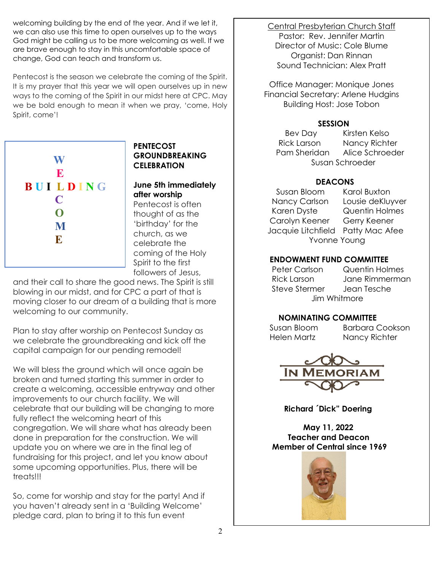welcoming building by the end of the year. And if we let it, we can also use this time to open ourselves up to the ways God might be calling *us* to be more welcoming as well. If we are brave enough to stay in this uncomfortable space of change, God can teach and transform us.

Pentecost is the season we celebrate the coming of the Spirit. It is my prayer that this year we will open ourselves up in new ways to the coming of the Spirit in our midst here at CPC. May we be bold enough to mean it when we pray, 'come, Holy Spirit, come'!



### **PENTECOST GROUNDBREAKING CELEBRATION**

**June 5th immediately after worship** Pentecost is often thought of as the 'birthday' for the church, as we celebrate the coming of the Holy Spirit to the first

followers of Jesus, and their call to share the good news. The Spirit is still blowing in our midst, and for CPC a part of that is moving closer to our dream of a building that is more welcoming to our community.

Plan to stay after worship on Pentecost Sunday as we celebrate the groundbreaking and kick off the capital campaign for our pending remodel!

We will bless the ground which will once again be broken and turned starting this summer in order to create a welcoming, accessible entryway and other improvements to our church facility. We will celebrate that our building will be changing to more fully reflect the welcoming heart of this congregation. We will share what has already been done in preparation for the construction. We will update you on where we are in the final leg of fundraising for this project, and let you know about some upcoming opportunities. Plus, there will be treats!!!

So, come for worship and stay for the party! And if you haven't already sent in a 'Building Welcome' pledge card, plan to bring it to this fun event

Central Presbyterian Church Staff Pastor: Rev. Jennifer Martin Director of Music: Cole Blume Organist: Dan Rinnan Sound Technician: Alex Pratt

Office Manager: Monique Jones Financial Secretary: Arlene Hudgins Building Host: Jose Tobon

### **SESSION**

 Bev Day Kirsten Kelso Rick Larson Nancy Richter Pam Sheridan Alice Schroeder Susan Schroeder

# **DEACONS**

 Susan Bloom Karol Buxton Nancy Carlson Lousie deKluyver Karen Dyste Quentin Holmes Carolyn Keener Gerry Keener Jacquie Litchfield Patty Mac Afee Yvonne Young

# **ENDOWMENT FUND COMMITTEE**

Peter Carlson Quentin Holmes Steve Stermer Jean Tesche Jim Whitmore

Rick Larson Jane Rimmerman

# **NOMINATING COMMITTEE**

 Susan Bloom Barbara Cookson Helen Martz Nancy Richter



**Richard ´Dick" Doering** 

 **May 11, 2022 Teacher and Deacon Member of Central since 1969**

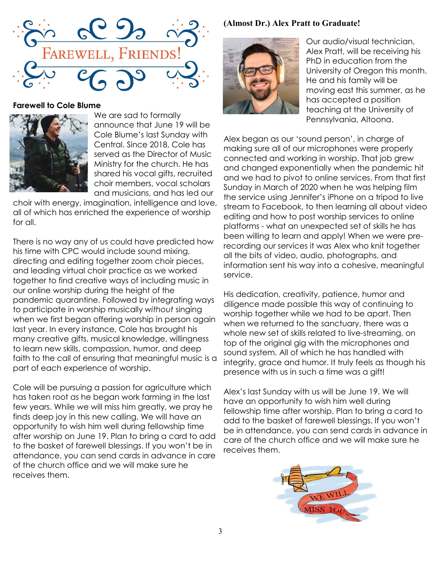

#### **Farewell to Cole Blume**



We are sad to formally announce that June 19 will be Cole Blume's last Sunday with Central. Since 2018, Cole has served as the Director of Music Ministry for the church. He has shared his vocal gifts, recruited choir members, vocal scholars and musicians, and has led our

choir with energy, imagination, intelligence and love, all of which has enriched the experience of worship for all.

There is no way any of us could have predicted how his time with CPC would include sound mixing, directing and editing together zoom choir pieces, and leading virtual choir practice as we worked together to find creative ways of including music in our online worship during the height of the pandemic quarantine. Followed by integrating ways to participate in worship musically *without* singing when we first began offering worship in person again last year. In every instance, Cole has brought his many creative gifts, musical knowledge, willingness to learn new skills, compassion, humor, and deep faith to the call of ensuring that meaningful music is a part of each experience of worship.

Cole will be pursuing a passion for agriculture which has taken root as he began work farming in the last few years. While we will miss him greatly, we pray he finds deep joy in this new calling. We will have an opportunity to wish him well during fellowship time after worship on June 19. Plan to bring a card to add to the basket of farewell blessings. If you won't be in attendance, you can send cards in advance in care of the church office and we will make sure he receives them.

### **(Almost Dr.) Alex Pratt to Graduate!**



Our audio/visual technician, Alex Pratt, will be receiving his PhD in education from the University of Oregon this month. He and his family will be moving east this summer, as he has accepted a position teaching at the University of Pennsylvania, Altoona.

Alex began as our 'sound person', in charge of making sure all of our microphones were properly connected and working in worship. That job grew and changed exponentially when the pandemic hit and we had to pivot to online services. From that first Sunday in March of 2020 when he was helping film the service using Jennifer's iPhone on a tripod to live stream to Facebook, to then learning all about video editing and how to post worship services to online platforms - what an unexpected set of skills he has been willing to learn and apply! When we were prerecording our services it was Alex who knit together all the bits of video, audio, photographs, and information sent his way into a cohesive, meaningful service.

His dedication, creativity, patience, humor and diligence made possible this way of continuing to worship together while we had to be apart. Then when we returned to the sanctuary, there was a whole new set of skills related to live-streaming, on top of the original gig with the microphones and sound system. All of which he has handled with integrity, grace and humor. It truly feels as though his presence with us in such a time was a gift!

Alex's last Sunday with us will be June 19. We will have an opportunity to wish him well during fellowship time after worship. Plan to bring a card to add to the basket of farewell blessings. If you won't be in attendance, you can send cards in advance in care of the church office and we will make sure he receives them.

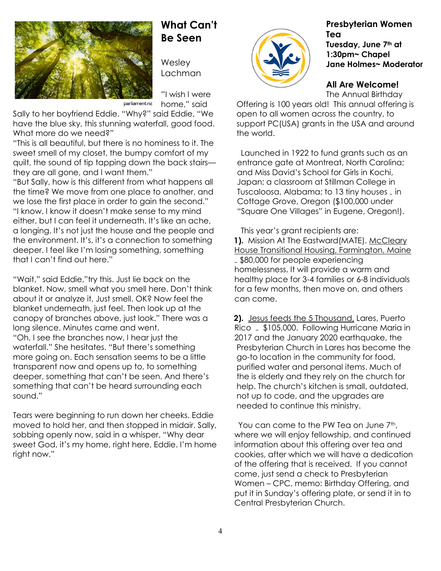

# **What Can't Be Seen**

**Wesley** Lachman

"I wish I were parliament.nz home," said

Sally to her boyfriend Eddie. "Why?" said Eddie, "We have the blue sky, this stunning waterfall, good food. What more do we need?"

"This is all beautiful, but there is no hominess to it. The sweet smell of my closet, the bumpy comfort of my quilt, the sound of tip tapping down the back stairs they are all gone, and I want them."

"But Sally, how is this different from what happens all the time? We move from one place to another, and we lose the first place in order to gain the second." "I know. I know it doesn't make sense to my mind either, but I can feel it underneath. It's like an ache, a longing. It's not just the house and the people and the environment. It's, it's a connection to something deeper. I feel like I'm losing something, something that I can't find out here."

"Wait," said Eddie,"try this. Just lie back on the blanket. Now, smell what you smell here. Don't think about it or analyze it, Just smell. OK? Now feel the blanket underneath, just feel. Then look up at the canopy of branches above, just look." There was a long silence. Minutes came and went. "Oh, I see the branches now, I hear just the waterfall." She hesitates. "But there's something more going on. Each sensation seems to be a little transparent now and opens up to, to something

deeper, something that can't be seen. And there's something that can't be heard surrounding each sound."

Tears were beginning to run down her cheeks. Eddie moved to hold her, and then stopped in midair. Sally, sobbing openly now, said in a whisper, "Why dear sweet God, it's my home, right here, Eddie. I'm home right now."



### **Presbyterian Women Tea Tuesday, June 7th at 1:30pm~ Chapel Jane Holmes~ Moderator**

### **All Are Welcome!**

The Annual Birthday

Offering is 100 years old! This annual offering is open to all women across the country, to support PC(USA) grants in the USA and around the world.

 Launched in 1922 to fund grants such as an entrance gate at Montreat, North Carolina; and Miss David's School for Girls in Kochi, Japan; a classroom at Stillman College in Tuscaloosa, Alabama; to 13 tiny houses \_ in Cottage Grove, Oregon (\$100,000 under "Square One Villages" in Eugene, Oregon!).

 This year's grant recipients are: **1).** Mission At The Eastward(MATE). McCleary House Transitional Housing, Farmington, Maine ₋ \$80,000 for people experiencing homelessness. It will provide a warm and healthy place for 3-4 families or 6-8 individuals for a few months, then move on, and others can come.

**2).** Jesus feeds the 5 Thousand, Lares, Puerto Rico ₋ \$105,000. Following Hurricane Maria in 2017 and the January 2020 earthquake, the Presbyterian Church in Lares has become the go-to location in the community for food, purified water and personal items. Much of the is elderly and they rely on the church for help. The church's kitchen is small, outdated, not up to code, and the upgrades are needed to continue this ministry.

You can come to the PW Tea on June 7<sup>th</sup>, where we will enjoy fellowship, and continued information about this offering over tea and cookies, after which we will have a dedication of the offering that is received. If you cannot come, just send a check to Presbyterian Women – CPC, memo: Birthday Offering, and put it in Sunday's offering plate, or send it in to Central Presbyterian Church.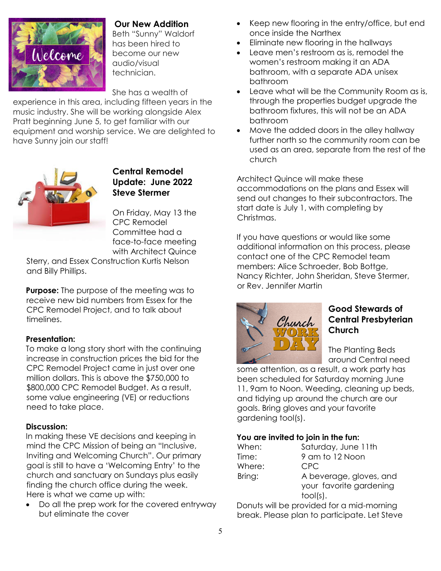

# **Our New Addition**

Beth "Sunny" Waldorf has been hired to become our new audio/visual technician.

She has a wealth of

experience in this area, including fifteen years in the music industry. She will be working alongside Alex Pratt beginning June 5, to get familiar with our equipment and worship service. We are delighted to have Sunny join our staff!



# **Central Remodel Update: June 2022 Steve Stermer**

On Friday, May 13 the CPC Remodel Committee had a face-to-face meeting with Architect Quince

Sterry, and Essex Construction Kurtis Nelson and Billy Phillips.

**Purpose:** The purpose of the meeting was to receive new bid numbers from Essex for the CPC Remodel Project, and to talk about timelines.

# **Presentation:**

To make a long story short with the continuing increase in construction prices the bid for the CPC Remodel Project came in just over one million dollars. This is above the \$750,000 to \$800,000 CPC Remodel Budget. As a result, some value engineering (VE) or reductions need to take place.

### **Discussion:**

In making these VE decisions and keeping in mind the CPC Mission of being an "Inclusive, Inviting and Welcoming Church". Our primary goal is still to have a 'Welcoming Entry' to the church and sanctuary on Sundays plus easily finding the church office during the week. Here is what we came up with:

• Do all the prep work for the covered entryway but eliminate the cover

- Keep new flooring in the entry/office, but end once inside the Narthex
- Eliminate new flooring in the hallways
- Leave men's restroom as is, remodel the women's restroom making it an ADA bathroom, with a separate ADA unisex bathroom
- Leave what will be the Community Room as is, through the properties budget upgrade the bathroom fixtures, this will not be an ADA bathroom
- Move the added doors in the alley hallway further north so the community room can be used as an area, separate from the rest of the church

Architect Quince will make these accommodations on the plans and Essex will send out changes to their subcontractors. The start date is July 1, with completing by Christmas.

If you have questions or would like some additional information on this process, please contact one of the CPC Remodel team members: Alice Schroeder, Bob Bottge, Nancy Richter, John Sheridan, Steve Stermer, or Rev. Jennifer Martin



# **Good Stewards of Central Presbyterian Church**

The Planting Beds around Central need

some attention, as a result, a work party has been scheduled for Saturday morning June 11, 9am to Noon. Weeding, cleaning up beds, and tidying up around the church are our goals. Bring gloves and your favorite gardening tool(s).

### **You are invited to join in the fun:**

| When:  | Saturday, June 11th     |
|--------|-------------------------|
| Time:  | 9 am to 12 Noon         |
| Where: | CPC.                    |
| Bring: | A beverage, gloves, and |
|        | your favorite gardening |
|        | $\text{tool}(s)$ .      |

Donuts will be provided for a mid-morning break. Please plan to participate. Let Steve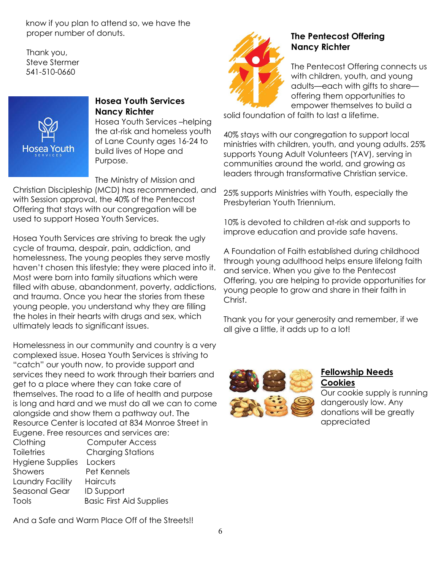know if you plan to attend so, we have the proper number of donuts.

Thank you, Steve Stermer 541-510-0660



# **Hosea Youth Services Nancy Richter**

Hosea Youth Services –helping the at-risk and homeless youth of Lane County ages 16-24 to build lives of Hope and Purpose.

The Ministry of Mission and

Christian Discipleship (MCD) has recommended, and with Session approval, the 40% of the Pentecost Offering that stays with our congregation will be used to support Hosea Youth Services.

Hosea Youth Services are striving to break the ugly cycle of trauma, despair, pain, addiction, and homelessness, The young peoples they serve mostly haven't chosen this lifestyle; they were placed into it. Most were born into family situations which were filled with abuse, abandonment, poverty, addictions, and trauma. Once you hear the stories from these young people, you understand why they are filling the holes in their hearts with drugs and sex, which ultimately leads to significant issues.

Homelessness in our community and country is a very complexed issue. Hosea Youth Services is striving to "catch" our youth now, to provide support and services they need to work through their barriers and get to a place where they can take care of themselves. The road to a life of health and purpose is long and hard and we must do all we can to come alongside and show them a pathway out. The Resource Center is located at 834 Monroe Street in Eugene. Free resources and services are:

Clothing Computer Access Toiletries Charging Stations Hygiene Supplies Lockers Showers Pet Kennels Laundry Facility Haircuts Seasonal Gear ID Support Tools Basic First Aid Supplies

And a Safe and Warm Place Off of the Streets!!



# **The Pentecost Offering Nancy Richter**

The Pentecost Offering connects us with children, youth, and young adults—each with gifts to share offering them opportunities to empower themselves to build a

solid foundation of faith to last a lifetime.

40% stays with our congregation to support local ministries with children, youth, and young adults. 25% supports Young Adult Volunteers (YAV), serving in communities around the world, and growing as leaders through transformative Christian service.

25% supports Ministries with Youth, especially the Presbyterian Youth Triennium.

10% is devoted to children at-risk and supports to improve education and provide safe havens.

A Foundation of Faith established during childhood through young adulthood helps ensure lifelong faith and service. When you give to the Pentecost Offering, you are helping to provide opportunities for young people to grow and share in their faith in Christ.

Thank you for your generosity and remember, if we all give a little, it adds up to a lot!



### **Fellowship Needs Cookies**

Our cookie supply is running dangerously low. Any donations will be greatly appreciated